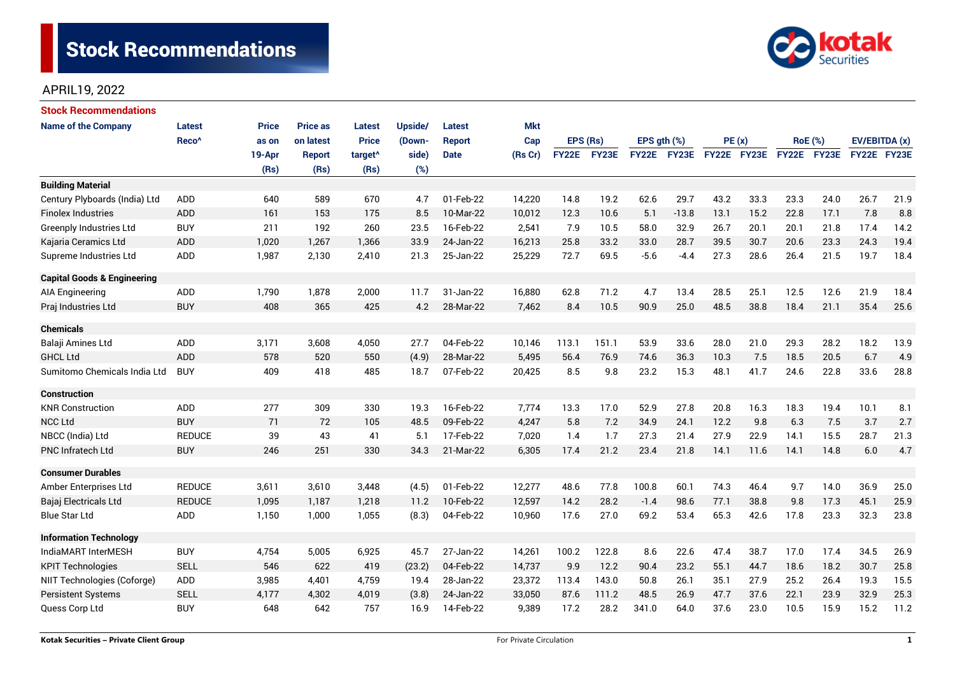

# APRIL19, 2022

| <b>Stock Recommendations</b>           |                   |              |                 |                     |         |               |            |              |       |                  |         |             |      |                |             |               |      |
|----------------------------------------|-------------------|--------------|-----------------|---------------------|---------|---------------|------------|--------------|-------|------------------|---------|-------------|------|----------------|-------------|---------------|------|
| <b>Name of the Company</b>             | Latest            | <b>Price</b> | <b>Price as</b> | <b>Latest</b>       | Upside/ | Latest        | <b>Mkt</b> |              |       |                  |         |             |      |                |             |               |      |
|                                        | Reco <sup>^</sup> | as on        | on latest       | <b>Price</b>        | (Down-  | <b>Report</b> | Cap        | EPS (Rs)     |       | EPS $qth$ $(\%)$ |         | PE(x)       |      | <b>RoE</b> (%) |             | EV/EBITDA (x) |      |
|                                        |                   | 19-Apr       | <b>Report</b>   | target <sup>^</sup> | side)   | <b>Date</b>   | (Rs Cr)    | <b>FY22E</b> | FY23E | <b>FY22E</b>     | FY23E   | FY22E FY23E |      |                | FY22E FY23E | FY22E FY23E   |      |
|                                        |                   | (Rs)         | (Rs)            | (Rs)                | (%)     |               |            |              |       |                  |         |             |      |                |             |               |      |
| <b>Building Material</b>               |                   |              |                 |                     |         |               |            |              |       |                  |         |             |      |                |             |               |      |
| Century Plyboards (India) Ltd          | ADD               | 640          | 589             | 670                 | 4.7     | 01-Feb-22     | 14,220     | 14.8         | 19.2  | 62.6             | 29.7    | 43.2        | 33.3 | 23.3           | 24.0        | 26.7          | 21.9 |
| <b>Finolex Industries</b>              | <b>ADD</b>        | 161          | 153             | 175                 | 8.5     | 10-Mar-22     | 10,012     | 12.3         | 10.6  | 5.1              | $-13.8$ | 13.1        | 15.2 | 22.8           | 17.1        | 7.8           | 8.8  |
| <b>Greenply Industries Ltd</b>         | <b>BUY</b>        | 211          | 192             | 260                 | 23.5    | 16-Feb-22     | 2,541      | 7.9          | 10.5  | 58.0             | 32.9    | 26.7        | 20.1 | 20.1           | 21.8        | 17.4          | 14.2 |
| Kajaria Ceramics Ltd                   | ADD               | 1,020        | 1,267           | 1,366               | 33.9    | 24-Jan-22     | 16,213     | 25.8         | 33.2  | 33.0             | 28.7    | 39.5        | 30.7 | 20.6           | 23.3        | 24.3          | 19.4 |
| Supreme Industries Ltd                 | ADD               | 1,987        | 2,130           | 2,410               | 21.3    | 25-Jan-22     | 25,229     | 72.7         | 69.5  | $-5.6$           | $-4.4$  | 27.3        | 28.6 | 26.4           | 21.5        | 19.7          | 18.4 |
| <b>Capital Goods &amp; Engineering</b> |                   |              |                 |                     |         |               |            |              |       |                  |         |             |      |                |             |               |      |
| AIA Engineering                        | ADD               | 1,790        | 1,878           | 2,000               | 11.7    | 31-Jan-22     | 16,880     | 62.8         | 71.2  | 4.7              | 13.4    | 28.5        | 25.1 | 12.5           | 12.6        | 21.9          | 18.4 |
| Praj Industries Ltd                    | <b>BUY</b>        | 408          | 365             | 425                 | 4.2     | 28-Mar-22     | 7,462      | 8.4          | 10.5  | 90.9             | 25.0    | 48.5        | 38.8 | 18.4           | 21.1        | 35.4          | 25.6 |
| <b>Chemicals</b>                       |                   |              |                 |                     |         |               |            |              |       |                  |         |             |      |                |             |               |      |
| Balaji Amines Ltd                      | ADD               | 3,171        | 3,608           | 4,050               | 27.7    | 04-Feb-22     | 10,146     | 113.1        | 151.1 | 53.9             | 33.6    | 28.0        | 21.0 | 29.3           | 28.2        | 18.2          | 13.9 |
| <b>GHCL Ltd</b>                        | ADD               | 578          | 520             | 550                 | (4.9)   | 28-Mar-22     | 5,495      | 56.4         | 76.9  | 74.6             | 36.3    | 10.3        | 7.5  | 18.5           | 20.5        | 6.7           | 4.9  |
| Sumitomo Chemicals India Ltd           | <b>BUY</b>        | 409          | 418             | 485                 | 18.7    | 07-Feb-22     | 20,425     | 8.5          | 9.8   | 23.2             | 15.3    | 48.1        | 41.7 | 24.6           | 22.8        | 33.6          | 28.8 |
| <b>Construction</b>                    |                   |              |                 |                     |         |               |            |              |       |                  |         |             |      |                |             |               |      |
| <b>KNR Construction</b>                | ADD               | 277          | 309             | 330                 | 19.3    | 16-Feb-22     | 7,774      | 13.3         | 17.0  | 52.9             | 27.8    | 20.8        | 16.3 | 18.3           | 19.4        | 10.1          | 8.1  |
| <b>NCC Ltd</b>                         | <b>BUY</b>        | 71           | 72              | 105                 | 48.5    | 09-Feb-22     | 4,247      | 5.8          | 7.2   | 34.9             | 24.1    | 12.2        | 9.8  | 6.3            | 7.5         | 3.7           | 2.7  |
| NBCC (India) Ltd                       | <b>REDUCE</b>     | 39           | 43              | 41                  | 5.1     | 17-Feb-22     | 7,020      | 1.4          | 1.7   | 27.3             | 21.4    | 27.9        | 22.9 | 14.1           | 15.5        | 28.7          | 21.3 |
| <b>PNC Infratech Ltd</b>               | <b>BUY</b>        | 246          | 251             | 330                 | 34.3    | 21-Mar-22     | 6,305      | 17.4         | 21.2  | 23.4             | 21.8    | 14.1        | 11.6 | 14.1           | 14.8        | 6.0           | 4.7  |
| <b>Consumer Durables</b>               |                   |              |                 |                     |         |               |            |              |       |                  |         |             |      |                |             |               |      |
| Amber Enterprises Ltd                  | <b>REDUCE</b>     | 3,611        | 3,610           | 3,448               | (4.5)   | 01-Feb-22     | 12,277     | 48.6         | 77.8  | 100.8            | 60.1    | 74.3        | 46.4 | 9.7            | 14.0        | 36.9          | 25.0 |
| Bajaj Electricals Ltd                  | <b>REDUCE</b>     | 1,095        | 1,187           | 1,218               | 11.2    | 10-Feb-22     | 12,597     | 14.2         | 28.2  | $-1.4$           | 98.6    | 77.1        | 38.8 | 9.8            | 17.3        | 45.1          | 25.9 |
| <b>Blue Star Ltd</b>                   | ADD               | 1,150        | 1,000           | 1,055               | (8.3)   | 04-Feb-22     | 10,960     | 17.6         | 27.0  | 69.2             | 53.4    | 65.3        | 42.6 | 17.8           | 23.3        | 32.3          | 23.8 |
| <b>Information Technology</b>          |                   |              |                 |                     |         |               |            |              |       |                  |         |             |      |                |             |               |      |
| IndiaMART InterMESH                    | <b>BUY</b>        | 4,754        | 5,005           | 6,925               | 45.7    | 27-Jan-22     | 14,261     | 100.2        | 122.8 | 8.6              | 22.6    | 47.4        | 38.7 | 17.0           | 17.4        | 34.5          | 26.9 |
| <b>KPIT Technologies</b>               | <b>SELL</b>       | 546          | 622             | 419                 | (23.2)  | 04-Feb-22     | 14,737     | 9.9          | 12.2  | 90.4             | 23.2    | 55.1        | 44.7 | 18.6           | 18.2        | 30.7          | 25.8 |
| NIIT Technologies (Coforge)            | ADD               | 3,985        | 4,401           | 4,759               | 19.4    | 28-Jan-22     | 23,372     | 113.4        | 143.0 | 50.8             | 26.1    | 35.1        | 27.9 | 25.2           | 26.4        | 19.3          | 15.5 |
| <b>Persistent Systems</b>              | <b>SELL</b>       | 4,177        | 4,302           | 4,019               | (3.8)   | 24-Jan-22     | 33,050     | 87.6         | 111.2 | 48.5             | 26.9    | 47.7        | 37.6 | 22.1           | 23.9        | 32.9          | 25.3 |
| Quess Corp Ltd                         | <b>BUY</b>        | 648          | 642             | 757                 | 16.9    | 14-Feb-22     | 9,389      | 17.2         | 28.2  | 341.0            | 64.0    | 37.6        | 23.0 | 10.5           | 15.9        | 15.2          | 11.2 |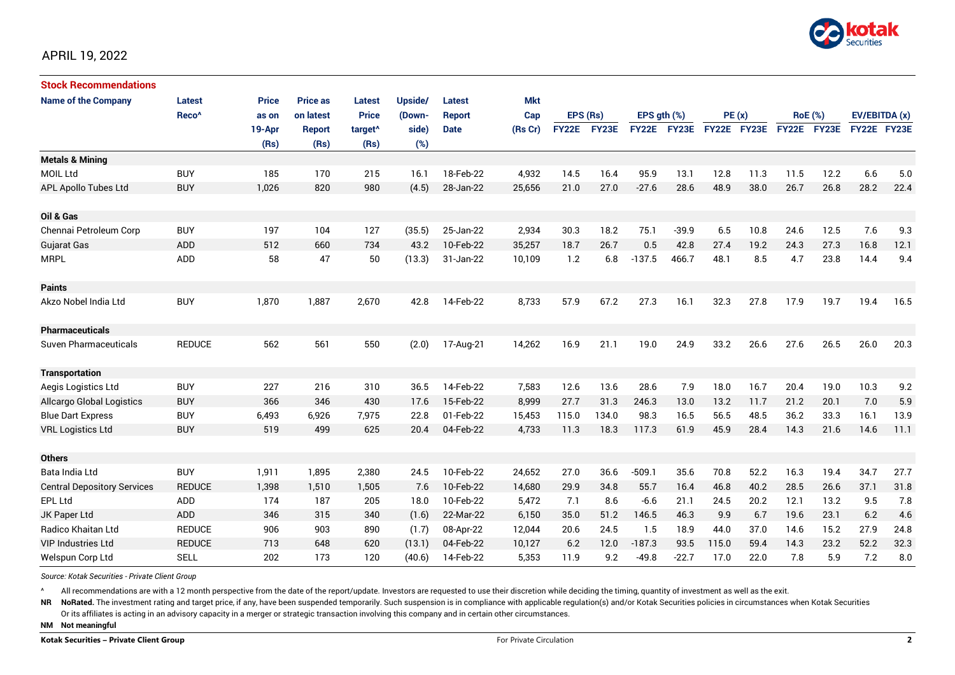

# APRIL 19, 2022

| <b>Stock Recommendations</b>       |                   |              |                 |                     |         |               |            |              |       |              |         |             |      |                |      |               |      |
|------------------------------------|-------------------|--------------|-----------------|---------------------|---------|---------------|------------|--------------|-------|--------------|---------|-------------|------|----------------|------|---------------|------|
| <b>Name of the Company</b>         | <b>Latest</b>     | <b>Price</b> | <b>Price as</b> | <b>Latest</b>       | Upside/ | Latest        | <b>Mkt</b> |              |       |              |         |             |      |                |      |               |      |
|                                    | Reco <sup>^</sup> | as on        | on latest       | <b>Price</b>        | (Down-  | <b>Report</b> | Cap        | EPS (Rs)     |       | EPS ath (%)  |         | PE(x)       |      | <b>RoE</b> (%) |      | EV/EBITDA (x) |      |
|                                    |                   | 19-Apr       | Report          | target <sup>^</sup> | side)   | <b>Date</b>   | (Rs Cr)    | <b>FY22E</b> | FY23E | <b>FY22E</b> | FY23E   | FY22E FY23E |      | FY22E FY23E    |      | FY22E FY23E   |      |
|                                    |                   | (Rs)         | (Rs)            | (Rs)                | (%)     |               |            |              |       |              |         |             |      |                |      |               |      |
| <b>Metals &amp; Mining</b>         |                   |              |                 |                     |         |               |            |              |       |              |         |             |      |                |      |               |      |
| <b>MOIL Ltd</b>                    | <b>BUY</b>        | 185          | 170             | 215                 | 16.1    | 18-Feb-22     | 4,932      | 14.5         | 16.4  | 95.9         | 13.1    | 12.8        | 11.3 | 11.5           | 12.2 | 6.6           | 5.0  |
| <b>APL Apollo Tubes Ltd</b>        | <b>BUY</b>        | 1,026        | 820             | 980                 | (4.5)   | 28-Jan-22     | 25,656     | 21.0         | 27.0  | $-27.6$      | 28.6    | 48.9        | 38.0 | 26.7           | 26.8 | 28.2          | 22.4 |
|                                    |                   |              |                 |                     |         |               |            |              |       |              |         |             |      |                |      |               |      |
| Oil & Gas                          |                   |              |                 |                     |         |               |            |              |       |              |         |             |      |                |      |               |      |
| Chennai Petroleum Corp             | <b>BUY</b>        | 197          | 104             | 127                 | (35.5)  | 25-Jan-22     | 2,934      | 30.3         | 18.2  | 75.1         | $-39.9$ | 6.5         | 10.8 | 24.6           | 12.5 | 7.6           | 9.3  |
| <b>Gujarat Gas</b>                 | ADD               | 512          | 660             | 734                 | 43.2    | 10-Feb-22     | 35,257     | 18.7         | 26.7  | 0.5          | 42.8    | 27.4        | 19.2 | 24.3           | 27.3 | 16.8          | 12.1 |
| <b>MRPL</b>                        | ADD               | 58           | 47              | 50                  | (13.3)  | 31-Jan-22     | 10,109     | 1.2          | 6.8   | $-137.5$     | 466.7   | 48.1        | 8.5  | 4.7            | 23.8 | 14.4          | 9.4  |
|                                    |                   |              |                 |                     |         |               |            |              |       |              |         |             |      |                |      |               |      |
| <b>Paints</b>                      |                   |              |                 |                     |         |               |            |              |       |              |         |             |      |                |      |               |      |
| Akzo Nobel India Ltd               | <b>BUY</b>        | 1,870        | 1,887           | 2,670               | 42.8    | 14-Feb-22     | 8,733      | 57.9         | 67.2  | 27.3         | 16.1    | 32.3        | 27.8 | 17.9           | 19.7 | 19.4          | 16.5 |
|                                    |                   |              |                 |                     |         |               |            |              |       |              |         |             |      |                |      |               |      |
| <b>Pharmaceuticals</b>             |                   |              |                 |                     |         |               |            |              |       |              |         |             |      |                |      |               |      |
| Suven Pharmaceuticals              | <b>REDUCE</b>     | 562          | 561             | 550                 | (2.0)   | 17-Aug-21     | 14,262     | 16.9         | 21.1  | 19.0         | 24.9    | 33.2        | 26.6 | 27.6           | 26.5 | 26.0          | 20.3 |
|                                    |                   |              |                 |                     |         |               |            |              |       |              |         |             |      |                |      |               |      |
| <b>Transportation</b>              |                   |              |                 |                     |         |               |            |              |       |              |         |             |      |                |      |               |      |
| Aegis Logistics Ltd                | <b>BUY</b>        | 227          | 216             | 310                 | 36.5    | 14-Feb-22     | 7,583      | 12.6         | 13.6  | 28.6         | 7.9     | 18.0        | 16.7 | 20.4           | 19.0 | 10.3          | 9.2  |
| <b>Allcargo Global Logistics</b>   | <b>BUY</b>        | 366          | 346             | 430                 | 17.6    | 15-Feb-22     | 8,999      | 27.7         | 31.3  | 246.3        | 13.0    | 13.2        | 11.7 | 21.2           | 20.1 | 7.0           | 5.9  |
| <b>Blue Dart Express</b>           | <b>BUY</b>        | 6,493        | 6,926           | 7,975               | 22.8    | 01-Feb-22     | 15,453     | 115.0        | 134.0 | 98.3         | 16.5    | 56.5        | 48.5 | 36.2           | 33.3 | 16.1          | 13.9 |
| <b>VRL Logistics Ltd</b>           | <b>BUY</b>        | 519          | 499             | 625                 | 20.4    | 04-Feb-22     | 4,733      | 11.3         | 18.3  | 117.3        | 61.9    | 45.9        | 28.4 | 14.3           | 21.6 | 14.6          | 11.1 |
|                                    |                   |              |                 |                     |         |               |            |              |       |              |         |             |      |                |      |               |      |
| <b>Others</b>                      |                   |              |                 |                     |         |               |            |              |       |              |         |             |      |                |      |               |      |
| Bata India Ltd                     | <b>BUY</b>        | 1,911        | 1,895           | 2,380               | 24.5    | 10-Feb-22     | 24,652     | 27.0         | 36.6  | $-509.1$     | 35.6    | 70.8        | 52.2 | 16.3           | 19.4 | 34.7          | 27.7 |
| <b>Central Depository Services</b> | <b>REDUCE</b>     | 1,398        | 1,510           | 1,505               | 7.6     | 10-Feb-22     | 14,680     | 29.9         | 34.8  | 55.7         | 16.4    | 46.8        | 40.2 | 28.5           | 26.6 | 37.1          | 31.8 |
| <b>EPL Ltd</b>                     | <b>ADD</b>        | 174          | 187             | 205                 | 18.0    | 10-Feb-22     | 5.472      | 7.1          | 8.6   | $-6.6$       | 21.1    | 24.5        | 20.2 | 12.1           | 13.2 | 9.5           | 7.8  |
| JK Paper Ltd                       | ADD               | 346          | 315             | 340                 | (1.6)   | 22-Mar-22     | 6,150      | 35.0         | 51.2  | 146.5        | 46.3    | 9.9         | 6.7  | 19.6           | 23.1 | 6.2           | 4.6  |
| Radico Khaitan Ltd                 | <b>REDUCE</b>     | 906          | 903             | 890                 | (1.7)   | 08-Apr-22     | 12,044     | 20.6         | 24.5  | 1.5          | 18.9    | 44.0        | 37.0 | 14.6           | 15.2 | 27.9          | 24.8 |
| <b>VIP Industries Ltd</b>          | <b>REDUCE</b>     | 713          | 648             | 620                 | (13.1)  | 04-Feb-22     | 10,127     | 6.2          | 12.0  | $-187.3$     | 93.5    | 115.0       | 59.4 | 14.3           | 23.2 | 52.2          | 32.3 |
| Welspun Corp Ltd                   | <b>SELL</b>       | 202          | 173             | 120                 | (40.6)  | 14-Feb-22     | 5,353      | 11.9         | 9.2   | $-49.8$      | $-22.7$ | 17.0        | 22.0 | 7.8            | 5.9  | 7.2           | 8.0  |

*Source: Kotak Securities - Private Client Group*

All recommendations are with a 12 month perspective from the date of the report/update. Investors are requested to use their discretion while deciding the timing, quantity of investment as well as the exit.

NR NoRated. The investment rating and target price, if any, have been suspended temporarily. Such suspension is in compliance with applicable regulation(s) and/or Kotak Securities policies in circumstances when Kotak Secur

Or its affiliates is acting in an advisory capacity in a merger or strategic transaction involving this company and in certain other circumstances.

**NM Not meaningful**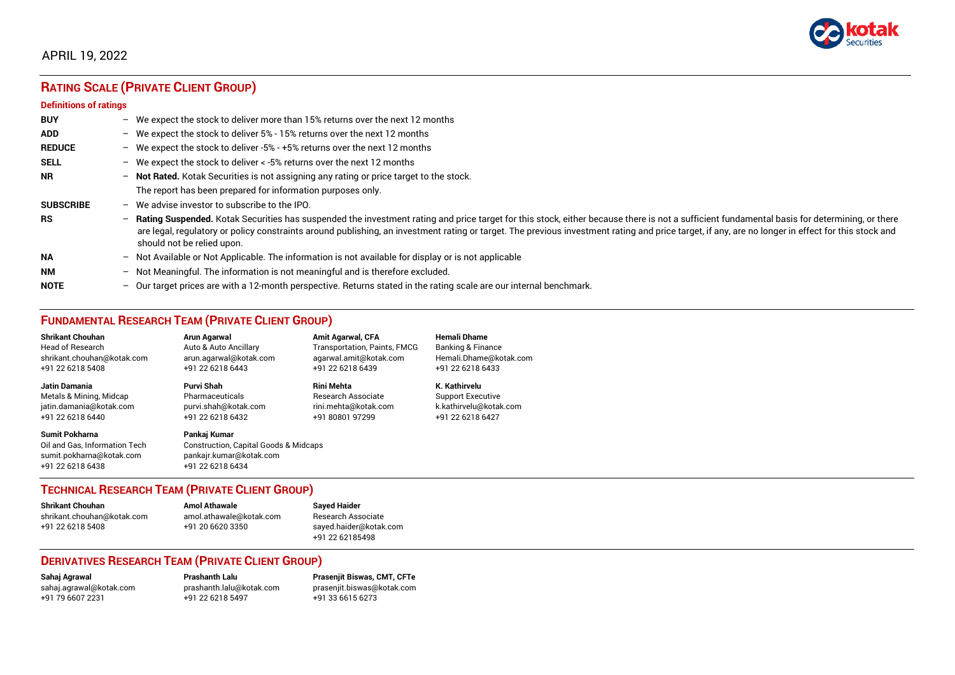

# APRIL 19, 2022

# **RATING SCALE (PRIVATE CLIENT GROUP)**

#### **Definitions of ratings**

| <b>BUY</b>       |   | - We expect the stock to deliver more than 15% returns over the next 12 months                                                                                                                                                                                                                                                                                                                                                     |
|------------------|---|------------------------------------------------------------------------------------------------------------------------------------------------------------------------------------------------------------------------------------------------------------------------------------------------------------------------------------------------------------------------------------------------------------------------------------|
| <b>ADD</b>       |   | - We expect the stock to deliver 5% - 15% returns over the next 12 months                                                                                                                                                                                                                                                                                                                                                          |
| <b>REDUCE</b>    |   | - We expect the stock to deliver -5% - +5% returns over the next 12 months                                                                                                                                                                                                                                                                                                                                                         |
| <b>SELL</b>      |   | - We expect the stock to deliver $\lt$ -5% returns over the next 12 months                                                                                                                                                                                                                                                                                                                                                         |
| <b>NR</b>        |   | - Not Rated. Kotak Securities is not assigning any rating or price target to the stock.                                                                                                                                                                                                                                                                                                                                            |
|                  |   | The report has been prepared for information purposes only.                                                                                                                                                                                                                                                                                                                                                                        |
| <b>SUBSCRIBE</b> |   | $-$ We advise investor to subscribe to the IPO.                                                                                                                                                                                                                                                                                                                                                                                    |
| <b>RS</b>        |   | - Rating Suspended. Kotak Securities has suspended the investment rating and price target for this stock, either because there is not a sufficient fundamental basis for determining, or there<br>are legal, regulatory or policy constraints around publishing, an investment rating or target. The previous investment rating and price target, if any, are no longer in effect for this stock and<br>should not be relied upon. |
| <b>NA</b>        |   | $-$ Not Available or Not Applicable. The information is not available for display or is not applicable                                                                                                                                                                                                                                                                                                                             |
| <b>NM</b>        |   | - Not Meaningful. The information is not meaningful and is therefore excluded.                                                                                                                                                                                                                                                                                                                                                     |
| <b>NOTE</b>      | - | Our target prices are with a 12-month perspective. Returns stated in the rating scale are our internal benchmark.                                                                                                                                                                                                                                                                                                                  |

# **FUNDAMENTAL RESEARCH TEAM (PRIVATE CLIENT GROUP)**

| <b>Shrikant Chouhan</b>                                                                                | Arun Agarwal                                                                                                    | <b>Amit Agarwal, CFA</b>            | <b>Hemali Dhame</b>          |
|--------------------------------------------------------------------------------------------------------|-----------------------------------------------------------------------------------------------------------------|-------------------------------------|------------------------------|
| <b>Head of Research</b>                                                                                | Auto & Auto Ancillary                                                                                           | <b>Transportation, Paints, FMCG</b> | <b>Banking &amp; Finance</b> |
| shrikant.chouhan@kotak.com                                                                             | arun.agarwal@kotak.com                                                                                          | agarwal.amit@kotak.com              | Hemali.Dhame@kotak.com       |
| +91 22 6218 5408                                                                                       | +91 22 6218 6443                                                                                                | +91 22 6218 6439                    | +91 22 6218 6433             |
| Jatin Damania                                                                                          | Purvi Shah                                                                                                      | <b>Rini Mehta</b>                   | K. Kathirvelu                |
| Metals & Mining, Midcap                                                                                | Pharmaceuticals                                                                                                 | <b>Research Associate</b>           | <b>Support Executive</b>     |
| jatin.damania@kotak.com                                                                                | purvi.shah@kotak.com                                                                                            | rini.mehta@kotak.com                | k.kathirvelu@kotak.com       |
| +91 22 6218 6440                                                                                       | +91 22 6218 6432                                                                                                | +91 80801 97299                     | +91 22 6218 6427             |
| <b>Sumit Pokharna</b><br>Oil and Gas, Information Tech<br>sumit.pokharna@kotak.com<br>+91 22 6218 6438 | Pankaj Kumar<br><b>Construction, Capital Goods &amp; Midcaps</b><br>pankajr.kumar@kotak.com<br>+91 22 6218 6434 |                                     |                              |

#### **TECHNICAL RESEARCH TEAM (PRIVATE CLIENT GROUP)**

| <b>Shrikant Chouhan</b>    | <b>Amol Athawale</b>    |  |
|----------------------------|-------------------------|--|
| shrikant.chouhan@kotak.com | amol.athawale@kotak.com |  |
| +91 22 6218 5408           | +91 20 6620 3350        |  |
|                            |                         |  |

**Sayed Haider** Research Associate [sayed.haider@kotak.com](mailto:sayed.haider@kotak.com) +91 22 62185498

#### **DERIVATIVES RESEARCH TEAM (PRIVATE CLIENT GROUP)**

+91 22 6218 5497 +91 33 6615 6273

**Sahaj Agrawal Prashanth Lalu Prasenjit Biswas, CMT, CFTe** [sahaj.agrawal@kotak.com](mailto:sahaj.agrawal@kotak.com) [prashanth.lalu@kotak.com](mailto:prashanth.lalu@kotak.com) [prasenjit.biswas@kotak.com](mailto:prasenjit.biswas@kotak.com)